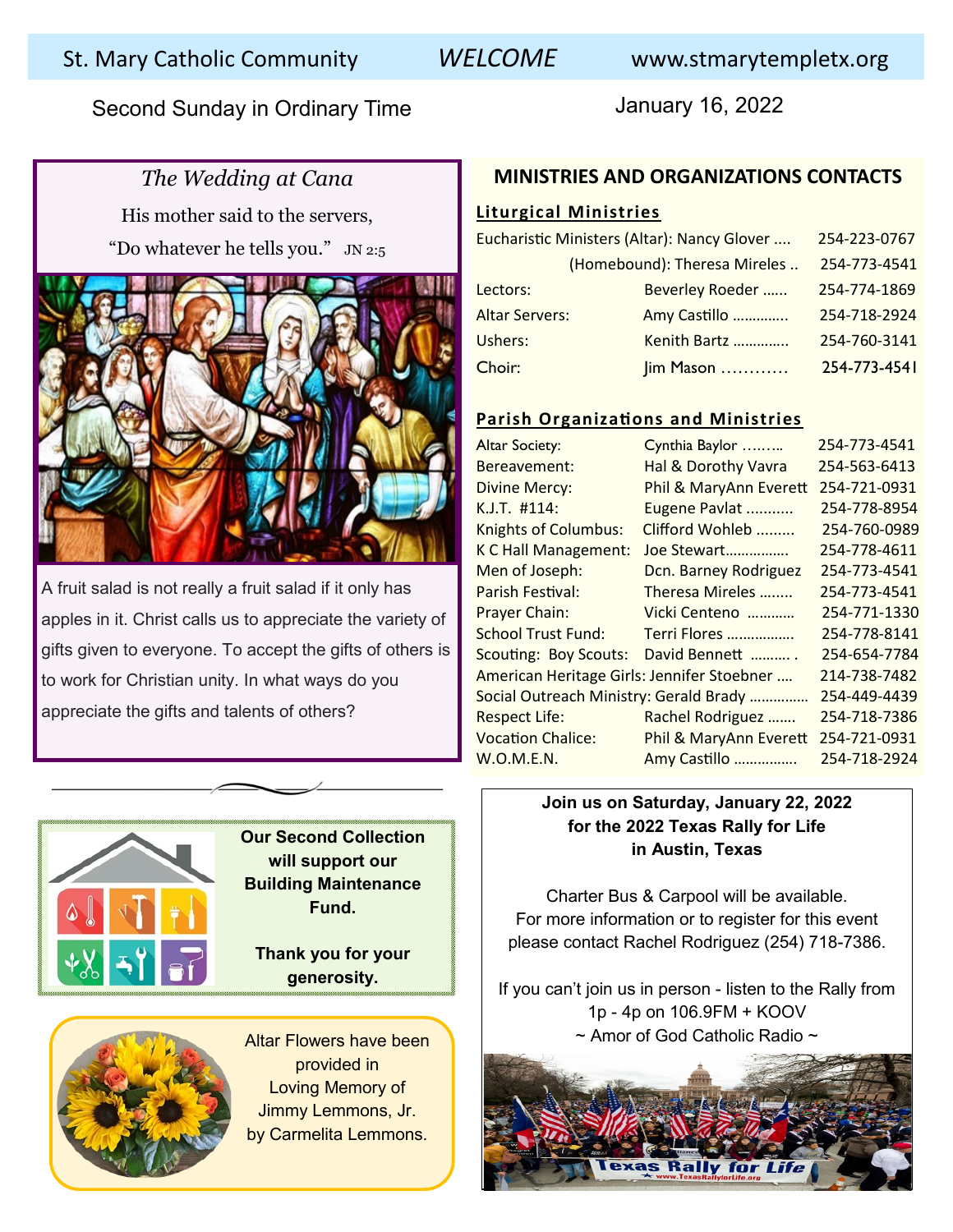Second Sunday in Ordinary Time **Second Sunday in Ordinary Time** January 16, 2022

# *The Wedding at Cana*

His mother said to the servers, "Do whatever he tells you."  $JN$  2:5

A fruit salad is not really a fruit salad if it only has apples in it. Christ calls us to appreciate the variety of gifts given to everyone. To accept the gifts of others is to work for Christian unity. In what ways do you appreciate the gifts and talents of others?

### **MINISTRIES AND ORGANIZATIONS CONTACTS**

### **Liturgical Ministries**

| Eucharistic Ministers (Altar): Nancy Glover |                              |              | 254-223-0767 |
|---------------------------------------------|------------------------------|--------------|--------------|
|                                             | (Homebound): Theresa Mireles |              | 254-773-4541 |
|                                             | Beverley Roeder<br>Lectors:  |              | 254-774-1869 |
| <b>Altar Servers:</b>                       |                              | Amy Castillo | 254-718-2924 |
|                                             | Ushers:                      | Kenith Bartz | 254-760-3141 |
| Choir:                                      |                              | Jim Mason    | 254-773-4541 |

### **Parish Organizations and Ministries**

| <b>Altar Society:</b>                      | Cynthia Baylor         | 254-773-4541 |
|--------------------------------------------|------------------------|--------------|
| Bereavement:                               | Hal & Dorothy Vavra    | 254-563-6413 |
| <b>Divine Mercy:</b>                       | Phil & MaryAnn Everett | 254-721-0931 |
| $K.J.T.$ #114:                             | Eugene Pavlat          | 254-778-8954 |
| <b>Knights of Columbus:</b>                | Clifford Wohleb        | 254-760-0989 |
| K C Hall Management:                       | Joe Stewart            | 254-778-4611 |
| Men of Joseph:                             | Dcn. Barney Rodriguez  | 254-773-4541 |
| Parish Festival:                           | Theresa Mireles        | 254-773-4541 |
| Prayer Chain:                              | Vicki Centeno          | 254-771-1330 |
| <b>School Trust Fund:</b>                  | Terri Flores           | 254-778-8141 |
| <b>Scouting: Boy Scouts:</b>               | David Bennett          | 254-654-7784 |
| American Heritage Girls: Jennifer Stoebner | 214-738-7482           |              |
| Social Outreach Ministry: Gerald Brady     | 254-449-4439           |              |
| <b>Respect Life:</b>                       | Rachel Rodriguez       | 254-718-7386 |
| <b>Vocation Chalice:</b>                   | Phil & MaryAnn Everett | 254-721-0931 |
| W.O.M.E.N.                                 | Amy Castillo           | 254-718-2924 |



**Our Second Collection will support our Building Maintenance Fund.** 

**Thank you for your generosity.** 



Altar Flowers have been provided in Loving Memory of Jimmy Lemmons, Jr. by Carmelita Lemmons.

### **Join us on Saturday, January 22, 2022 for the 2022 Texas Rally for Life in Austin, Texas**

Charter Bus & Carpool will be available. For more information or to register for this event please contact Rachel Rodriguez (254) 718-7386.

If you can't join us in person - listen to the Rally from 1p - 4p on 106.9FM + KOOV ~ Amor of God Catholic Radio ~

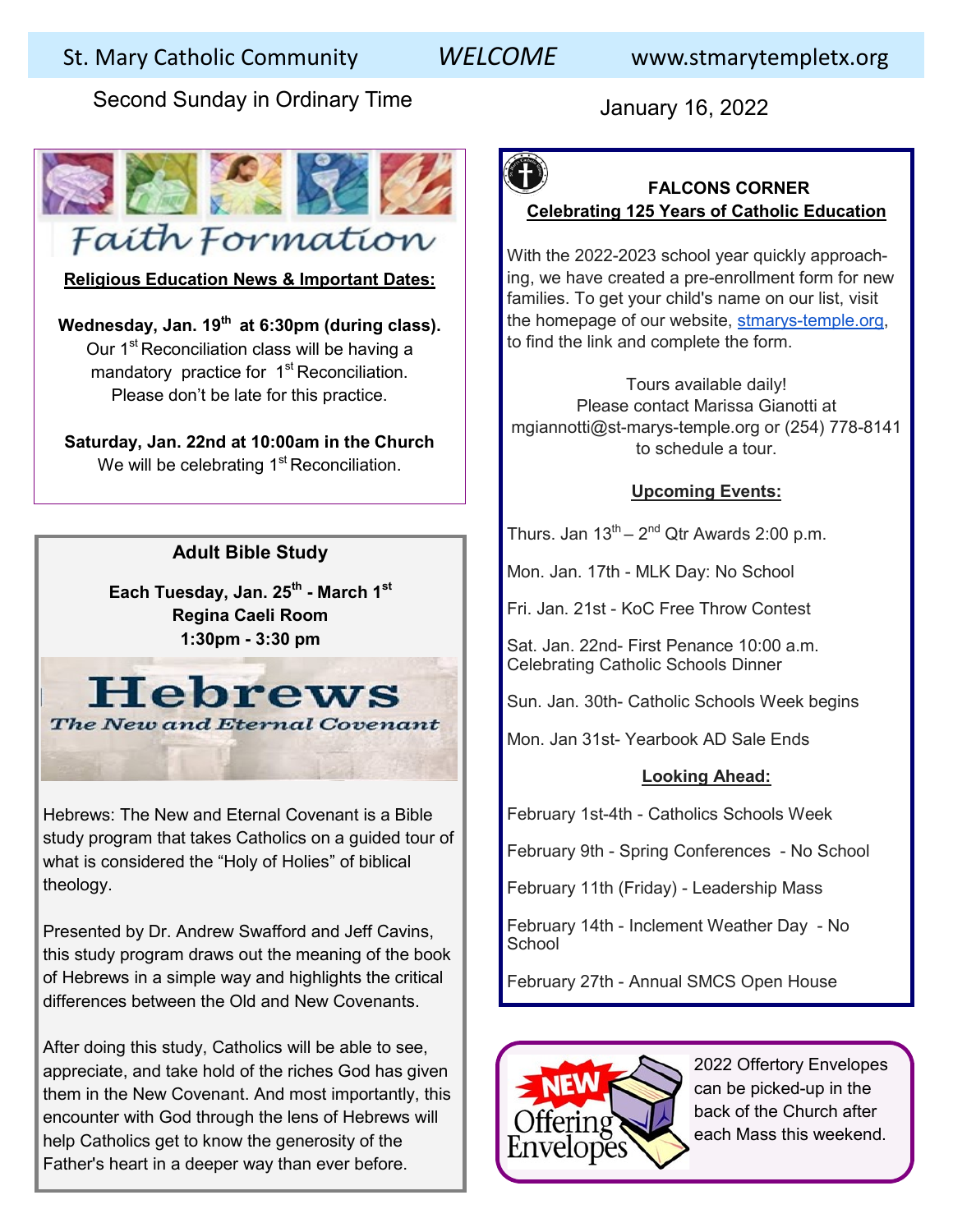# St. Mary Catholic Community *WELCOME* www.stmarytempletx.org

Second Sunday in Ordinary Time **January 16, 2022** 



**Religious Education News & Important Dates:**

**Wednesday, Jan. 19th at 6:30pm (during class).** Our 1<sup>st</sup> Reconciliation class will be having a mandatory practice for 1<sup>st</sup> Reconciliation. Please don't be late for this practice.

**Saturday, Jan. 22nd at 10:00am in the Church** We will be celebrating  $1<sup>st</sup>$  Reconciliation.

### **Adult Bible Study**

**Each Tuesday, Jan. 25th - March 1st Regina Caeli Room 1:30pm - 3:30 pm**



Hebrews: The New and Eternal Covenant is a Bible study program that takes Catholics on a guided tour of what is considered the "Holy of Holies" of biblical theology.

Presented by Dr. Andrew Swafford and Jeff Cavins, this study program draws out the meaning of the book of Hebrews in a simple way and highlights the critical differences between the Old and New Covenants.

After doing this study, Catholics will be able to see, appreciate, and take hold of the riches God has given them in the New Covenant. And most importantly, this encounter with God through the lens of Hebrews will help Catholics get to know the generosity of the Father's heart in a deeper way than ever before.

# **FALCONS CORNER Celebrating 125 Years of Catholic Education**

With the 2022-2023 school year quickly approaching, we have created a pre-enrollment form for new families. To get your child's name on our list, visit the homepage of our website, stmarys-[temple.org,](http://stmarys-temple.org/) to find the link and complete the form.

Tours available daily! Please contact Marissa Gianotti at mgiannotti@st-marys-temple.org or (254) 778-8141 to schedule a tour.

### **Upcoming Events:**

Thurs. Jan  $13^{\text{th}} - 2^{\text{nd}}$  Qtr Awards 2:00 p.m.

Mon. Jan. 17th - MLK Day: No School

Fri. Jan. 21st - KoC Free Throw Contest

Sat. Jan. 22nd- First Penance 10:00 a.m. Celebrating Catholic Schools Dinner

Sun. Jan. 30th- Catholic Schools Week begins

Mon. Jan 31st- Yearbook AD Sale Ends

### **Looking Ahead:**

February 1st-4th - Catholics Schools Week

February 9th - Spring Conferences - No School

February 11th (Friday) - Leadership Mass

February 14th - Inclement Weather Day - No **School** 

February 27th - Annual SMCS Open House



2022 Offertory Envelopes can be picked-up in the back of the Church after each Mass this weekend.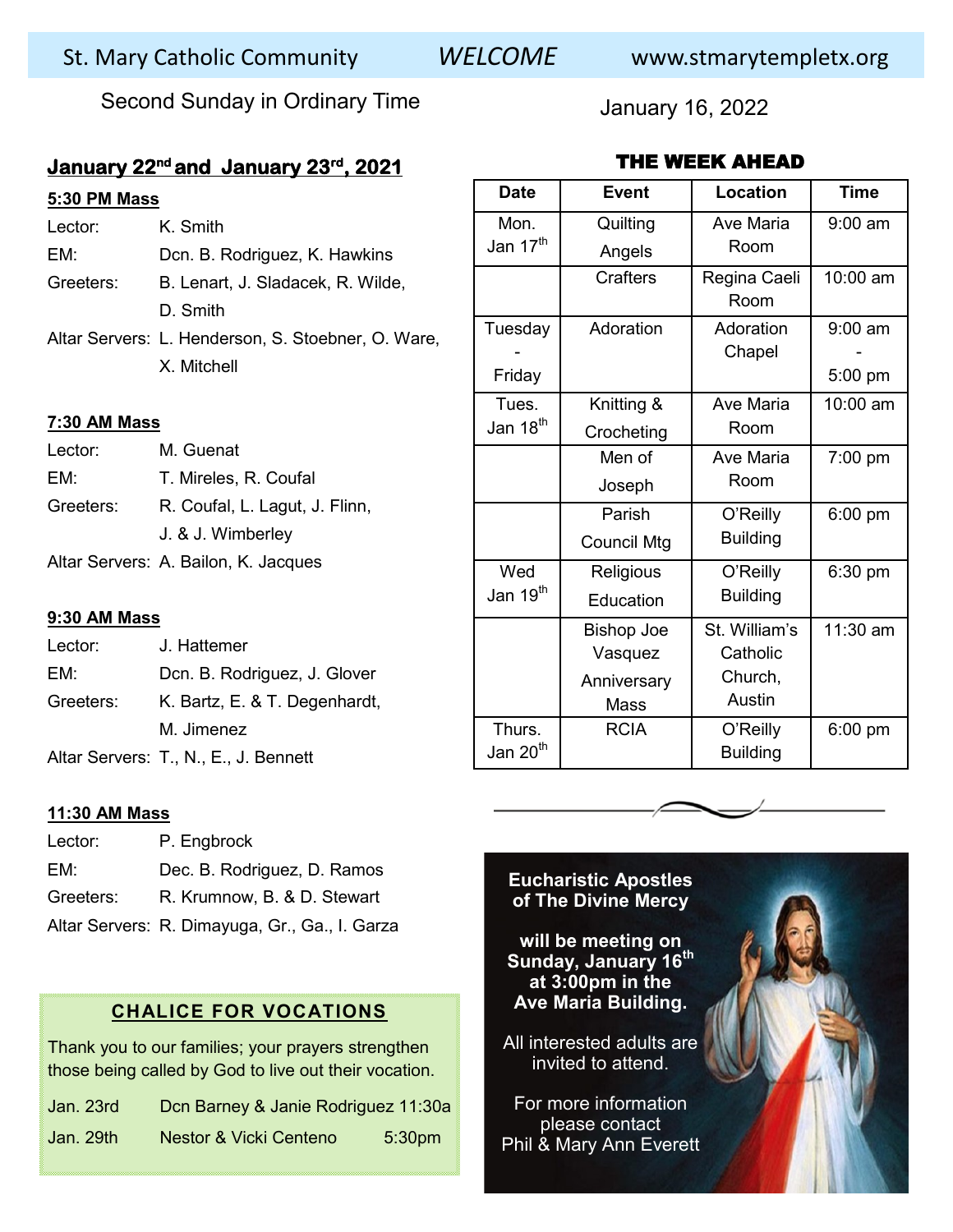# St. Mary Catholic Community *WELCOME* www.stmarytempletx.org

Second Sunday in Ordinary Time **January 16, 2022** 

## **January 22nd and January 23rd, 2021**

### **5:30 PM Mass**

| Lector:   | K Smith                                            |  |
|-----------|----------------------------------------------------|--|
| EM:       | Dcn. B. Rodriguez, K. Hawkins                      |  |
| Greeters: | B. Lenart, J. Sladacek, R. Wilde,                  |  |
|           | D. Smith                                           |  |
|           | Altar Servers: L. Henderson, S. Stoebner, O. Ware, |  |
|           | X Mitchell                                         |  |

#### **7:30 AM Mass**

| Lector:   | M. Guenat                            |  |
|-----------|--------------------------------------|--|
| EM:       | T. Mireles, R. Coufal                |  |
| Greeters: | R. Coufal, L. Lagut, J. Flinn,       |  |
|           | J. & J. Wimberley                    |  |
|           | Altar Servers: A. Bailon, K. Jacques |  |

#### **9:30 AM Mass**

| Lector:   | J. Hattemer                           |
|-----------|---------------------------------------|
| EM:       | Dcn. B. Rodriguez, J. Glover          |
| Greeters: | K. Bartz, E. & T. Degenhardt,         |
|           | M. Jimenez                            |
|           | Altar Servers: T., N., E., J. Bennett |

#### **11:30 AM Mass**

| Lector:   | P. Engbrock                                    |
|-----------|------------------------------------------------|
| EM:       | Dec. B. Rodriguez, D. Ramos                    |
| Greeters: | R. Krumnow, B. & D. Stewart                    |
|           | Altar Servers: R. Dimayuga, Gr., Ga., I. Garza |

### **CHALICE FOR VOCATIONS**

Thank you to our families; your prayers strengthen those being called by God to live out their vocation.

| Jan. 23rd | Don Barney & Janie Rodriguez 11:30a |                    |
|-----------|-------------------------------------|--------------------|
| Jan. 29th | Nestor & Vicki Centeno              | 5:30 <sub>pm</sub> |

| THE WEEK AHEAD       |                    |                 |             |
|----------------------|--------------------|-----------------|-------------|
| <b>Date</b>          | <b>Event</b>       | <b>Location</b> | <b>Time</b> |
| Mon.                 | Quilting           | Ave Maria       | $9:00$ am   |
| Jan 17 <sup>th</sup> | Angels             | Room            |             |
|                      | <b>Crafters</b>    | Regina Caeli    | 10:00 am    |
|                      |                    | Room            |             |
| Tuesday              | Adoration          | Adoration       | $9:00$ am   |
|                      |                    | Chapel          |             |
| Friday               |                    |                 | 5:00 pm     |
| Tues.                | Knitting &         | Ave Maria       | 10:00 am    |
| Jan 18 <sup>th</sup> | Crocheting         | Room            |             |
|                      | Men of             | Ave Maria       | 7:00 pm     |
|                      | Joseph             | Room            |             |
|                      | Parish             | O'Reilly        | 6:00 pm     |
|                      | <b>Council Mtg</b> | <b>Building</b> |             |
| Wed                  | Religious          | O'Reilly        | 6:30 pm     |
| Jan 19 <sup>th</sup> | Education          | <b>Building</b> |             |
|                      | <b>Bishop Joe</b>  | St. William's   | 11:30 am    |
|                      | Vasquez            | Catholic        |             |
|                      | Anniversary        | Church,         |             |
|                      | <b>Mass</b>        | Austin          |             |
| Thurs.               | <b>RCIA</b>        | O'Reilly        | 6:00 pm     |
| Jan 20 <sup>th</sup> |                    | <b>Building</b> |             |



**will be meeting on Sunday, January 16th at 3:00pm in the Ave Maria Building.** 

All interested adults are invited to attend.

For more information please contact Phil & Mary Ann Everett